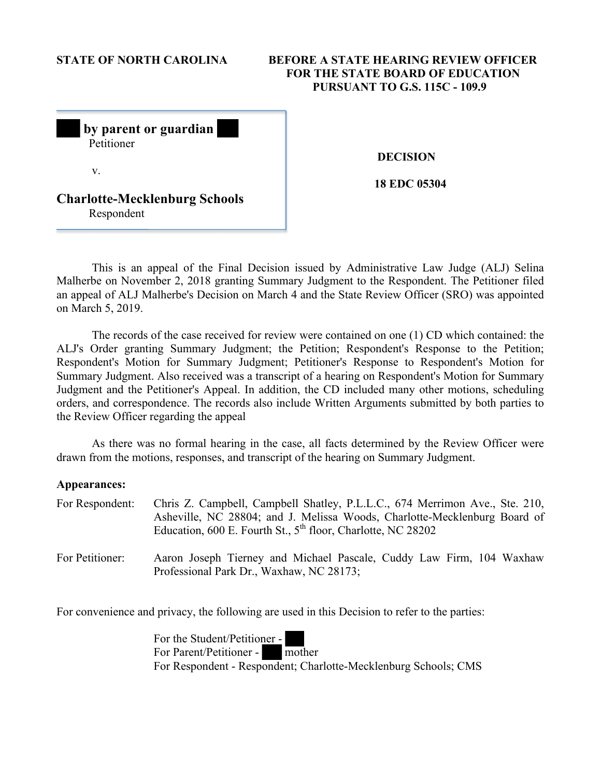# **STATE OF NORTH CAROLINA BEFORE A STATE HEARING REVIEW OFFICER FOR THE STATE BOARD OF EDUCATION PURSUANT TO G.S. 115C - 109.9**

| by parent or guardian<br>Petitioner                |  |
|----------------------------------------------------|--|
| V.                                                 |  |
| <b>Charlotte-Mecklenburg Schools</b><br>Respondent |  |

 **DECISION** 

**18 EDC 05304**

This is an appeal of the Final Decision issued by Administrative Law Judge (ALJ) Selina Malherbe on November 2, 2018 granting Summary Judgment to the Respondent. The Petitioner filed an appeal of ALJ Malherbe's Decision on March 4 and the State Review Officer (SRO) was appointed on March 5, 2019.

The records of the case received for review were contained on one (1) CD which contained: the ALJ's Order granting Summary Judgment; the Petition; Respondent's Response to the Petition; Respondent's Motion for Summary Judgment; Petitioner's Response to Respondent's Motion for Summary Judgment. Also received was a transcript of a hearing on Respondent's Motion for Summary Judgment and the Petitioner's Appeal. In addition, the CD included many other motions, scheduling orders, and correspondence. The records also include Written Arguments submitted by both parties to the Review Officer regarding the appeal

As there was no formal hearing in the case, all facts determined by the Review Officer were drawn from the motions, responses, and transcript of the hearing on Summary Judgment.

### **Appearances:**

| For Respondent: | Chris Z. Campbell, Campbell Shatley, P.L.L.C., 674 Merrimon Ave., Ste. 210,<br>Asheville, NC 28804; and J. Melissa Woods, Charlotte-Mecklenburg Board of<br>Education, 600 E. Fourth St., $5^{th}$ floor, Charlotte, NC 28202 |
|-----------------|-------------------------------------------------------------------------------------------------------------------------------------------------------------------------------------------------------------------------------|
| For Petitioner: | Aaron Joseph Tierney and Michael Pascale, Cuddy Law Firm, 104 Waxhaw<br>Professional Park Dr., Waxhaw, NC 28173;                                                                                                              |

For convenience and privacy, the following are used in this Decision to refer to the parties:

For the Student/Petitioner - For Parent/Petitioner - mother For Respondent - Respondent; Charlotte-Mecklenburg Schools; CMS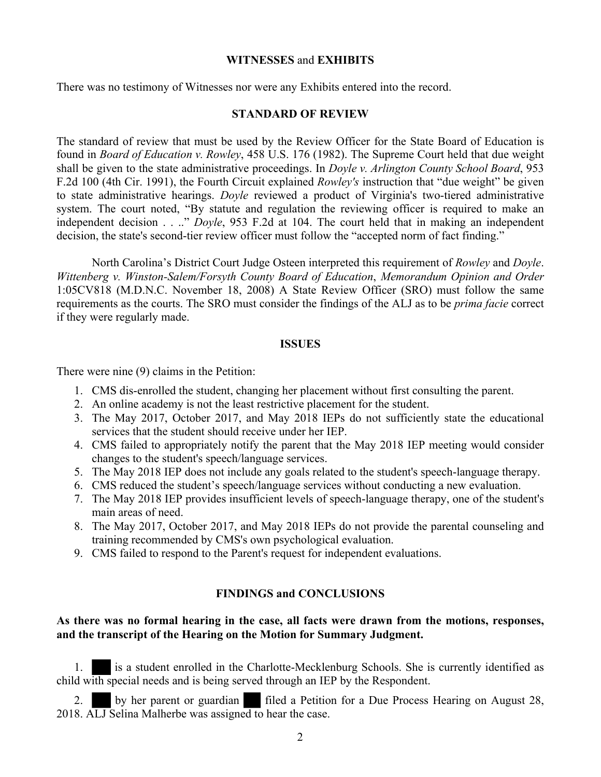## **WITNESSES** and **EXHIBITS**

There was no testimony of Witnesses nor were any Exhibits entered into the record.

## **STANDARD OF REVIEW**

The standard of review that must be used by the Review Officer for the State Board of Education is found in *Board of Education v. Rowley*, 458 U.S. 176 (1982). The Supreme Court held that due weight shall be given to the state administrative proceedings. In *Doyle v. Arlington County School Board*, 953 F.2d 100 (4th Cir. 1991), the Fourth Circuit explained *Rowley's* instruction that "due weight" be given to state administrative hearings. *Doyle* reviewed a product of Virginia's two-tiered administrative system. The court noted, "By statute and regulation the reviewing officer is required to make an independent decision . . .." *Doyle*, 953 F.2d at 104. The court held that in making an independent decision, the state's second-tier review officer must follow the "accepted norm of fact finding."

North Carolina's District Court Judge Osteen interpreted this requirement of *Rowley* and *Doyle*. *Wittenberg v. Winston-Salem/Forsyth County Board of Education*, *Memorandum Opinion and Order* 1:05CV818 (M.D.N.C. November 18, 2008) A State Review Officer (SRO) must follow the same requirements as the courts. The SRO must consider the findings of the ALJ as to be *prima facie* correct if they were regularly made.

### **ISSUES**

There were nine (9) claims in the Petition:

- 1. CMS dis-enrolled the student, changing her placement without first consulting the parent.
- 2. An online academy is not the least restrictive placement for the student.
- 3. The May 2017, October 2017, and May 2018 IEPs do not sufficiently state the educational services that the student should receive under her IEP.
- 4. CMS failed to appropriately notify the parent that the May 2018 IEP meeting would consider changes to the student's speech/language services.
- 5. The May 2018 IEP does not include any goals related to the student's speech-language therapy.
- 6. CMS reduced the student's speech/language services without conducting a new evaluation.
- 7. The May 2018 IEP provides insufficient levels of speech-language therapy, one of the student's main areas of need.
- 8. The May 2017, October 2017, and May 2018 IEPs do not provide the parental counseling and training recommended by CMS's own psychological evaluation.
- 9. CMS failed to respond to the Parent's request for independent evaluations.

# **FINDINGS and CONCLUSIONS**

# **As there was no formal hearing in the case, all facts were drawn from the motions, responses, and the transcript of the Hearing on the Motion for Summary Judgment.**

1. is a student enrolled in the Charlotte-Mecklenburg Schools. She is currently identified as child with special needs and is being served through an IEP by the Respondent.

2. by her parent or guardian filed a Petition for a Due Process Hearing on August 28, 2018. ALJ Selina Malherbe was assigned to hear the case.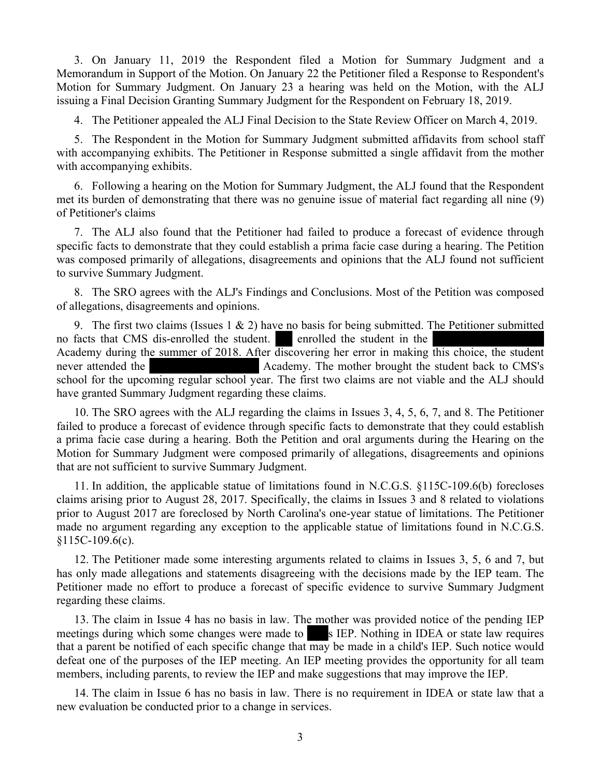3. On January 11, 2019 the Respondent filed a Motion for Summary Judgment and a Memorandum in Support of the Motion. On January 22 the Petitioner filed a Response to Respondent's Motion for Summary Judgment. On January 23 a hearing was held on the Motion, with the ALJ issuing a Final Decision Granting Summary Judgment for the Respondent on February 18, 2019.

4. The Petitioner appealed the ALJ Final Decision to the State Review Officer on March 4, 2019.

5. The Respondent in the Motion for Summary Judgment submitted affidavits from school staff with accompanying exhibits. The Petitioner in Response submitted a single affidavit from the mother with accompanying exhibits.

6. Following a hearing on the Motion for Summary Judgment, the ALJ found that the Respondent met its burden of demonstrating that there was no genuine issue of material fact regarding all nine (9) of Petitioner's claims

7. The ALJ also found that the Petitioner had failed to produce a forecast of evidence through specific facts to demonstrate that they could establish a prima facie case during a hearing. The Petition was composed primarily of allegations, disagreements and opinions that the ALJ found not sufficient to survive Summary Judgment.

8. The SRO agrees with the ALJ's Findings and Conclusions. Most of the Petition was composed of allegations, disagreements and opinions.

9. The first two claims (Issues 1  $\&$  2) have no basis for being submitted. The Petitioner submitted no facts that CMS dis-enrolled the student. enrolled the student in the Academy during the summer of 2018. After discovering her error in making this choice, the student never attended the Academy. The mother brought the student back to CMS's school for the upcoming regular school year. The first two claims are not viable and the ALJ should have granted Summary Judgment regarding these claims.

10. The SRO agrees with the ALJ regarding the claims in Issues 3, 4, 5, 6, 7, and 8. The Petitioner failed to produce a forecast of evidence through specific facts to demonstrate that they could establish a prima facie case during a hearing. Both the Petition and oral arguments during the Hearing on the Motion for Summary Judgment were composed primarily of allegations, disagreements and opinions that are not sufficient to survive Summary Judgment.

11. In addition, the applicable statue of limitations found in N.C.G.S. §115C-109.6(b) forecloses claims arising prior to August 28, 2017. Specifically, the claims in Issues 3 and 8 related to violations prior to August 2017 are foreclosed by North Carolina's one-year statue of limitations. The Petitioner made no argument regarding any exception to the applicable statue of limitations found in N.C.G.S. §115C-109.6(c).

12. The Petitioner made some interesting arguments related to claims in Issues 3, 5, 6 and 7, but has only made allegations and statements disagreeing with the decisions made by the IEP team. The Petitioner made no effort to produce a forecast of specific evidence to survive Summary Judgment regarding these claims.

13. The claim in Issue 4 has no basis in law. The mother was provided notice of the pending IEP meetings during which some changes were made to s IEP. Nothing in IDEA or state law requires that a parent be notified of each specific change that may be made in a child's IEP. Such notice would defeat one of the purposes of the IEP meeting. An IEP meeting provides the opportunity for all team members, including parents, to review the IEP and make suggestions that may improve the IEP.

14. The claim in Issue 6 has no basis in law. There is no requirement in IDEA or state law that a new evaluation be conducted prior to a change in services.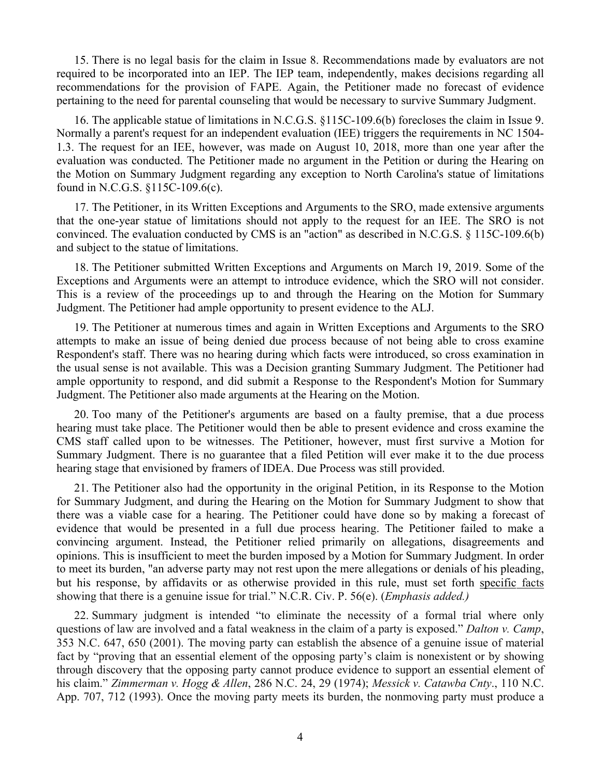15. There is no legal basis for the claim in Issue 8. Recommendations made by evaluators are not required to be incorporated into an IEP. The IEP team, independently, makes decisions regarding all recommendations for the provision of FAPE. Again, the Petitioner made no forecast of evidence pertaining to the need for parental counseling that would be necessary to survive Summary Judgment.

16. The applicable statue of limitations in N.C.G.S. §115C-109.6(b) forecloses the claim in Issue 9. Normally a parent's request for an independent evaluation (IEE) triggers the requirements in NC 1504- 1.3. The request for an IEE, however, was made on August 10, 2018, more than one year after the evaluation was conducted. The Petitioner made no argument in the Petition or during the Hearing on the Motion on Summary Judgment regarding any exception to North Carolina's statue of limitations found in N.C.G.S. §115C-109.6(c).

17. The Petitioner, in its Written Exceptions and Arguments to the SRO, made extensive arguments that the one-year statue of limitations should not apply to the request for an IEE. The SRO is not convinced. The evaluation conducted by CMS is an "action" as described in N.C.G.S. § 115C-109.6(b) and subject to the statue of limitations.

18. The Petitioner submitted Written Exceptions and Arguments on March 19, 2019. Some of the Exceptions and Arguments were an attempt to introduce evidence, which the SRO will not consider. This is a review of the proceedings up to and through the Hearing on the Motion for Summary Judgment. The Petitioner had ample opportunity to present evidence to the ALJ.

19. The Petitioner at numerous times and again in Written Exceptions and Arguments to the SRO attempts to make an issue of being denied due process because of not being able to cross examine Respondent's staff. There was no hearing during which facts were introduced, so cross examination in the usual sense is not available. This was a Decision granting Summary Judgment. The Petitioner had ample opportunity to respond, and did submit a Response to the Respondent's Motion for Summary Judgment. The Petitioner also made arguments at the Hearing on the Motion.

20. Too many of the Petitioner's arguments are based on a faulty premise, that a due process hearing must take place. The Petitioner would then be able to present evidence and cross examine the CMS staff called upon to be witnesses. The Petitioner, however, must first survive a Motion for Summary Judgment. There is no guarantee that a filed Petition will ever make it to the due process hearing stage that envisioned by framers of IDEA. Due Process was still provided.

21. The Petitioner also had the opportunity in the original Petition, in its Response to the Motion for Summary Judgment, and during the Hearing on the Motion for Summary Judgment to show that there was a viable case for a hearing. The Petitioner could have done so by making a forecast of evidence that would be presented in a full due process hearing. The Petitioner failed to make a convincing argument. Instead, the Petitioner relied primarily on allegations, disagreements and opinions. This is insufficient to meet the burden imposed by a Motion for Summary Judgment. In order to meet its burden, "an adverse party may not rest upon the mere allegations or denials of his pleading, but his response, by affidavits or as otherwise provided in this rule, must set forth specific facts showing that there is a genuine issue for trial." N.C.R. Civ. P. 56(e). (*Emphasis added.)*

22. Summary judgment is intended "to eliminate the necessity of a formal trial where only questions of law are involved and a fatal weakness in the claim of a party is exposed." *Dalton v. Camp*, 353 N.C. 647, 650 (2001). The moving party can establish the absence of a genuine issue of material fact by "proving that an essential element of the opposing party's claim is nonexistent or by showing through discovery that the opposing party cannot produce evidence to support an essential element of his claim." *Zimmerman v. Hogg & Allen*, 286 N.C. 24, 29 (1974); *Messick v. Catawba Cnty*., 110 N.C. App. 707, 712 (1993). Once the moving party meets its burden, the nonmoving party must produce a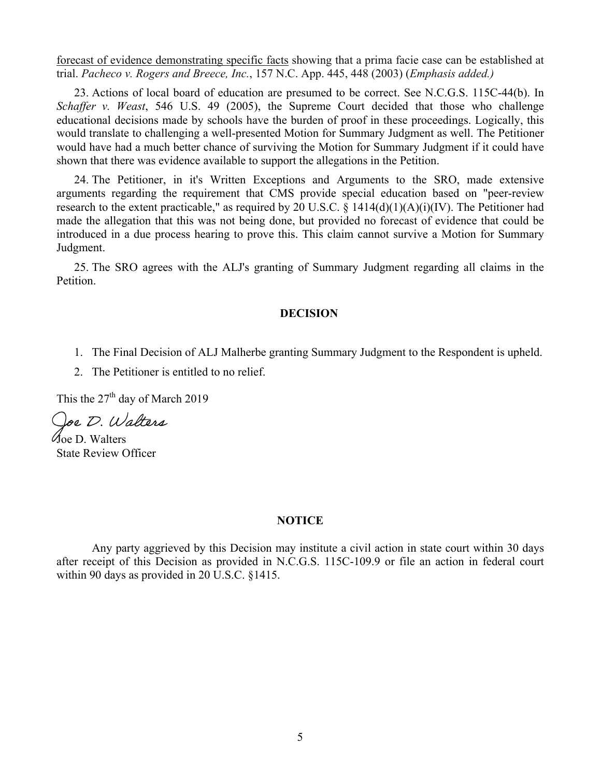forecast of evidence demonstrating specific facts showing that a prima facie case can be established at trial. *Pacheco v. Rogers and Breece, Inc.*, 157 N.C. App. 445, 448 (2003) (*Emphasis added.)*

23. Actions of local board of education are presumed to be correct. See N.C.G.S. 115C-44(b). In *Schaffer v. Weast*, 546 U.S. 49 (2005), the Supreme Court decided that those who challenge educational decisions made by schools have the burden of proof in these proceedings. Logically, this would translate to challenging a well-presented Motion for Summary Judgment as well. The Petitioner would have had a much better chance of surviving the Motion for Summary Judgment if it could have shown that there was evidence available to support the allegations in the Petition.

24. The Petitioner, in it's Written Exceptions and Arguments to the SRO, made extensive arguments regarding the requirement that CMS provide special education based on "peer-review research to the extent practicable," as required by 20 U.S.C. §  $1414(d)(1)(A)(i)(IV)$ . The Petitioner had made the allegation that this was not being done, but provided no forecast of evidence that could be introduced in a due process hearing to prove this. This claim cannot survive a Motion for Summary Judgment.

25. The SRO agrees with the ALJ's granting of Summary Judgment regarding all claims in the Petition.

# **DECISION**

- 1. The Final Decision of ALJ Malherbe granting Summary Judgment to the Respondent is upheld.
- 2. The Petitioner is entitled to no relief.

This the  $27<sup>th</sup>$  day of March 2019

Ooe D. Walters

Joe D. Walters State Review Officer

#### **NOTICE**

Any party aggrieved by this Decision may institute a civil action in state court within 30 days after receipt of this Decision as provided in N.C.G.S. 115C-109.9 or file an action in federal court within 90 days as provided in 20 U.S.C. §1415.